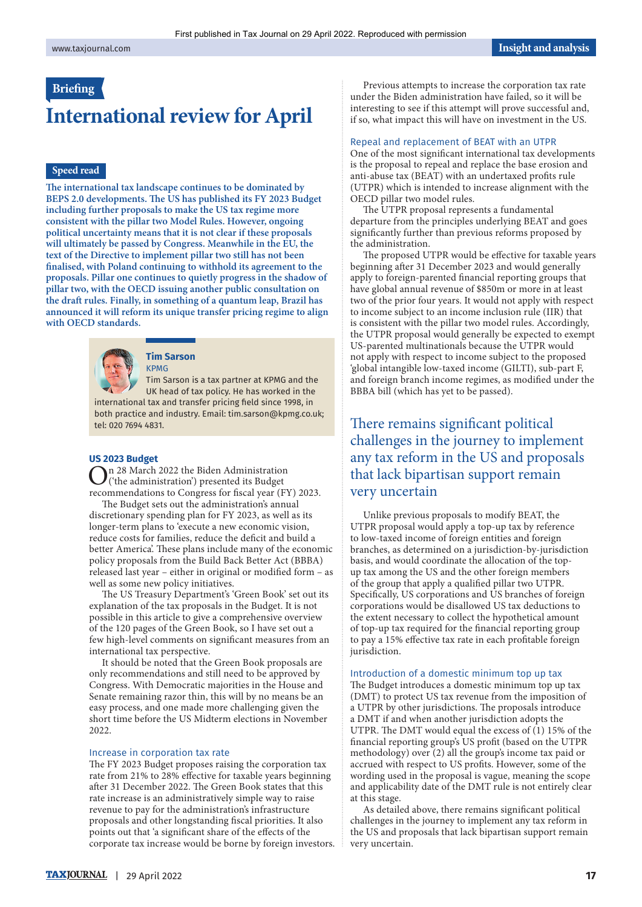## **Briefng**

# **International review for April**

### **Speed read**

The international tax landscape continues to be dominated by **BEPS 2.0 developments. The US has published its FY 2023 Budget including further proposals to make the US tax regime more consistent with the pillar two Model Rules. However, ongoing political uncertainty means that it is not clear if these proposals will ultimately be passed by Congress. Meanwhile in the EU, the text of the Directive to implement pillar two still has not been fnalised, with Poland continuing to withhold its agreement to the proposals. Pillar one continues to quietly progress in the shadow of pillar two, with the OECD issuing another public consultation on**  the draft rules. Finally, in something of a quantum leap, Brazil has **announced it will reform its unique transfer pricing regime to align with OECD standards.** 



#### **Tim Sarson**  KPMG

Tim Sarson is a tax partner at KPMG and the UK head of tax policy. He has worked in the international tax and transfer pricing feld since 1998, in both practice and industry. Email: [tim.sarson@kpmg.co.uk;](mailto:tim.sarson@kpmg.co.uk) tel: 020 7694 4831.

### **US 2023 Budget**

On 28 March 2022 the Biden Administration ('the administration') presented its Budget recommendations to Congress for fscal year (FY) 2023.

The Budget sets out the administration's annual discretionary spending plan for FY 2023, as well as its longer-term plans to 'execute a new economic vision, reduce costs for families, reduce the defcit and build a better America'. These plans include many of the economic policy proposals from the Build Back Better Act (BBBA) released last year – either in original or modifed form – as well as some new policy initiatives.

The US Treasury Department's 'Green Book' set out its explanation of the tax proposals in the Budget. It is not possible in this article to give a comprehensive overview of the 120 pages of the Green Book, so I have set out a few high-level comments on signifcant measures from an international tax perspective.

It should be noted that the Green Book proposals are only recommendations and still need to be approved by Congress. With Democratic majorities in the House and Senate remaining razor thin, this will by no means be an easy process, and one made more challenging given the short time before the US Midterm elections in November 2022.

### Increase in corporation tax rate

The FY 2023 Budget proposes raising the corporation tax rate from 21% to 28% efective for taxable years beginning after 31 December 2022. The Green Book states that this rate increase is an administratively simple way to raise revenue to pay for the administration's infrastructure proposals and other longstanding fscal priorities. It also points out that 'a significant share of the effects of the corporate tax increase would be borne by foreign investors.

Previous attempts to increase the corporation tax rate under the Biden administration have failed, so it will be interesting to see if this attempt will prove successful and, if so, what impact this will have on investment in the US.

### Repeal and replacement of BEAT with an UTPR

One of the most signifcant international tax developments is the proposal to repeal and replace the base erosion and anti-abuse tax (BEAT) with an undertaxed profts rule (UTPR) which is intended to increase alignment with the OECD pillar two model rules.

The UTPR proposal represents a fundamental departure from the principles underlying BEAT and goes signifcantly further than previous reforms proposed by the administration.

The proposed UTPR would be effective for taxable years beginning afer 31 December 2023 and would generally apply to foreign-parented fnancial reporting groups that have global annual revenue of \$850m or more in at least two of the prior four years. It would not apply with respect to income subject to an income inclusion rule (IIR) that is consistent with the pillar two model rules. Accordingly, the UTPR proposal would generally be expected to exempt US-parented multinationals because the UTPR would not apply with respect to income subject to the proposed 'global intangible low-taxed income (GILTI), sub-part F, and foreign branch income regimes, as modifed under the BBBA bill (which has yet to be passed).

# There remains significant political challenges in the journey to implement any tax reform in the US and proposals that lack bipartisan support remain very uncertain

Unlike previous proposals to modify BEAT, the UTPR proposal would apply a top-up tax by reference to low-taxed income of foreign entities and foreign branches, as determined on a jurisdiction-by-jurisdiction basis, and would coordinate the allocation of the topup tax among the US and the other foreign members of the group that apply a qualifed pillar two UTPR. Specifcally, US corporations and US branches of foreign corporations would be disallowed US tax deductions to the extent necessary to collect the hypothetical amount of top-up tax required for the fnancial reporting group to pay a 15% efective tax rate in each proftable foreign jurisdiction.

### Introduction of a domestic minimum top up tax

The Budget introduces a domestic minimum top up tax (DMT) to protect US tax revenue from the imposition of a UTPR by other jurisdictions. The proposals introduce a DMT if and when another jurisdiction adopts the UTPR. The DMT would equal the excess of  $(1)$  15% of the fnancial reporting group's US proft (based on the UTPR methodology) over (2) all the group's income tax paid or accrued with respect to US profts. However, some of the wording used in the proposal is vague, meaning the scope and applicability date of the DMT rule is not entirely clear at this stage.

As detailed above, there remains signifcant political challenges in the journey to implement any tax reform in the US and proposals that lack bipartisan support remain very uncertain.